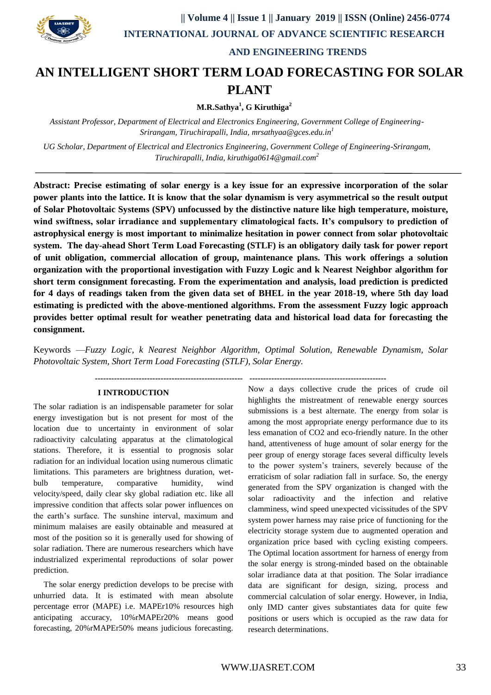

# **AND ENGINEERING TRENDS**

# **AN INTELLIGENT SHORT TERM LOAD FORECASTING FOR SOLAR PLANT**

 **M.R.Sathya<sup>1</sup> , G Kiruthiga<sup>2</sup>**

*Assistant Professor, Department of Electrical and Electronics Engineering, Government College of Engineering-Srirangam, Tiruchirapalli, India, [mrsathyaa@gces.edu.in](mailto:mrsathyaa@gces.edu.in)<sup>1</sup>*

*UG Scholar, Department of Electrical and Electronics Engineering, Government College of Engineering-Srirangam, Tiruchirapalli, India[, kiruthiga0614@gmail.com](mailto:kiruthiga0614@gmail.com)<sup>2</sup>*

**Abstract: Precise estimating of solar energy is a key issue for an expressive incorporation of the solar power plants into the lattice. It is know that the solar dynamism is very asymmetrical so the result output of Solar Photovoltaic Systems (SPV) unfocussed by the distinctive nature like high temperature, moisture, wind swiftness, solar irradiance and supplementary climatological facts. It's compulsory to prediction of astrophysical energy is most important to minimalize hesitation in power connect from solar photovoltaic system. The day-ahead Short Term Load Forecasting (STLF) is an obligatory daily task for power report of unit obligation, commercial allocation of group, maintenance plans. This work offerings a solution organization with the proportional investigation with Fuzzy Logic and k Nearest Neighbor algorithm for short term consignment forecasting. From the experimentation and analysis, load prediction is predicted for 4 days of readings taken from the given data set of BHEL in the year 2018-19, where 5th day load estimating is predicted with the above-mentioned algorithms. From the assessment Fuzzy logic approach provides better optimal result for weather penetrating data and historical load data for forecasting the consignment.**

Keywords —*Fuzzy Logic, k Nearest Neighbor Algorithm, Optimal Solution, Renewable Dynamism, Solar Photovoltaic System, Short Term Load Forecasting (STLF), Solar Energy.*

#### **I INTRODUCTION**

The solar radiation is an indispensable parameter for solar energy investigation but is not present for most of the location due to uncertainty in environment of solar radioactivity calculating apparatus at the climatological stations. Therefore, it is essential to prognosis solar radiation for an individual location using numerous climatic limitations. This parameters are brightness duration, wetbulb temperature, comparative humidity, wind velocity/speed, daily clear sky global radiation etc. like all impressive condition that affects solar power influences on the earth's surface. The sunshine interval, maximum and minimum malaises are easily obtainable and measured at most of the position so it is generally used for showing of solar radiation. There are numerous researchers which have industrialized experimental reproductions of solar power prediction.

 The solar energy prediction develops to be precise with unhurried data. It is estimated with mean absolute percentage error (MAPE) i.e. MAPEr10% resources high anticipating accuracy, 10%rMAPEr20% means good forecasting, 20%rMAPEr50% means judicious forecasting.

**------------------------------------------------------ --------------------------------------------------**

Now a days collective crude the prices of crude oil highlights the mistreatment of renewable energy sources submissions is a best alternate. The energy from solar is among the most appropriate energy performance due to its less emanation of CO2 and eco-friendly nature. In the other hand, attentiveness of huge amount of solar energy for the peer group of energy storage faces several difficulty levels to the power system's trainers, severely because of the erraticism of solar radiation fall in surface. So, the energy generated from the SPV organization is changed with the solar radioactivity and the infection and relative clamminess, wind speed unexpected vicissitudes of the SPV system power harness may raise price of functioning for the electricity storage system due to augmented operation and organization price based with cycling existing compeers. The Optimal location assortment for harness of energy from the solar energy is strong-minded based on the obtainable solar irradiance data at that position. The Solar irradiance data are significant for design, sizing, process and commercial calculation of solar energy. However, in India, only IMD canter gives substantiates data for quite few positions or users which is occupied as the raw data for research determinations.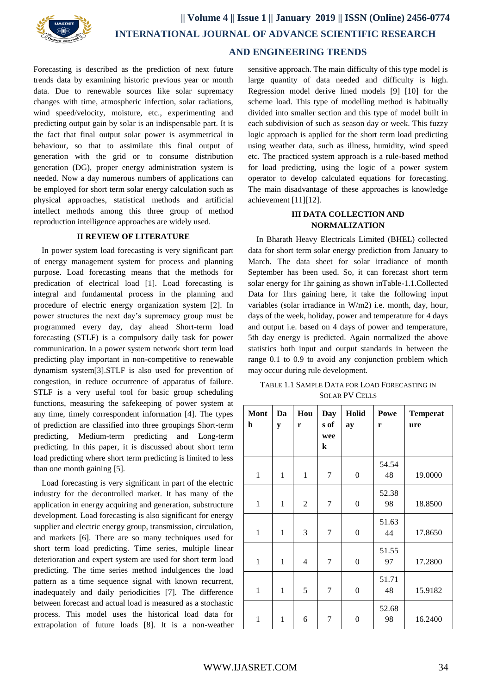

# **AND ENGINEERING TRENDS**

Forecasting is described as the prediction of next future trends data by examining historic previous year or month data. Due to renewable sources like solar supremacy changes with time, atmospheric infection, solar radiations, wind speed/velocity, moisture, etc., experimenting and predicting output gain by solar is an indispensable part. It is the fact that final output solar power is asymmetrical in behaviour, so that to assimilate this final output of generation with the grid or to consume distribution generation (DG), proper energy administration system is needed. Now a day numerous numbers of applications can be employed for short term solar energy calculation such as physical approaches, statistical methods and artificial intellect methods among this three group of method reproduction intelligence approaches are widely used.

## **II REVIEW OF LITERATURE**

In power system load forecasting is very significant part of energy management system for process and planning purpose. Load forecasting means that the methods for predication of electrical load [1]. Load forecasting is integral and fundamental process in the planning and procedure of electric energy organization system [2]. In power structures the next day's supremacy group must be programmed every day, day ahead Short-term load forecasting (STLF) is a compulsory daily task for power communication. In a power system network short term load predicting play important in non-competitive to renewable dynamism system[3].STLF is also used for prevention of congestion, in reduce occurrence of apparatus of failure. STLF is a very useful tool for basic group scheduling functions, measuring the safekeeping of power system at any time, timely correspondent information [4]. The types of prediction are classified into three groupings Short-term predicting, Medium-term predicting and Long-term predicting. In this paper, it is discussed about short term load predicting where short term predicting is limited to less than one month gaining [5].

Load forecasting is very significant in part of the electric industry for the decontrolled market. It has many of the application in energy acquiring and generation, substructure development. Load forecasting is also significant for energy supplier and electric energy group, transmission, circulation, and markets [6]. There are so many techniques used for short term load predicting. Time series, multiple linear deterioration and expert system are used for short term load predicting. The time series method indulgences the load pattern as a time sequence signal with known recurrent, inadequately and daily periodicities [7]. The difference between forecast and actual load is measured as a stochastic process. This model uses the historical load data for extrapolation of future loads [8]. It is a non-weather

sensitive approach. The main difficulty of this type model is large quantity of data needed and difficulty is high. Regression model derive lined models [9] [10] for the scheme load. This type of modelling method is habitually divided into smaller section and this type of model built in each subdivision of such as season day or week. This fuzzy logic approach is applied for the short term load predicting using weather data, such as illness, humidity, wind speed etc. The practiced system approach is a rule-based method for load predicting, using the logic of a power system operator to develop calculated equations for forecasting. The main disadvantage of these approaches is knowledge achievement [11][12].

# **III DATA COLLECTION AND NORMALIZATION**

In Bharath Heavy Electricals Limited (BHEL) collected data for short term solar energy prediction from January to March. The data sheet for solar irradiance of month September has been used. So, it can forecast short term solar energy for 1hr gaining as shown inTable-1.1.Collected Data for 1hrs gaining here, it take the following input variables (solar irradiance in W/m2) i.e. month, day, hour, days of the week, holiday, power and temperature for 4 days and output i.e. based on 4 days of power and temperature, 5th day energy is predicted. Again normalized the above statistics both input and output standards in between the range 0.1 to 0.9 to avoid any conjunction problem which may occur during rule development.

| TABLE 1.1 SAMPLE DATA FOR LOAD FORECASTING IN |
|-----------------------------------------------|
| <b>SOLAR PV CELLS</b>                         |

| <b>Mont</b><br>h | Da<br>y      | Hou<br>r       | Day<br>s of<br>wee<br>$\bf k$ | Holid<br>ay      | Powe<br>r   | <b>Temperat</b><br>ure |
|------------------|--------------|----------------|-------------------------------|------------------|-------------|------------------------|
| $\mathbf{1}$     | 1            | $\mathbf{1}$   | $\overline{7}$                | 0                | 54.54<br>48 | 19.0000                |
| $\overline{1}$   | $\mathbf{1}$ | $\overline{2}$ | $\tau$                        | $\boldsymbol{0}$ | 52.38<br>98 | 18.8500                |
| $\mathbf{1}$     | $\mathbf{1}$ | 3              | $\tau$                        | $\boldsymbol{0}$ | 51.63<br>44 | 17.8650                |
| $\mathbf{1}$     | $\mathbf{1}$ | 4              | 7                             | $\boldsymbol{0}$ | 51.55<br>97 | 17.2800                |
| $\mathbf{1}$     | 1            | 5              | 7                             | $\boldsymbol{0}$ | 51.71<br>48 | 15.9182                |
| $\mathbf{1}$     | 1            | 6              | 7                             | 0                | 52.68<br>98 | 16.2400                |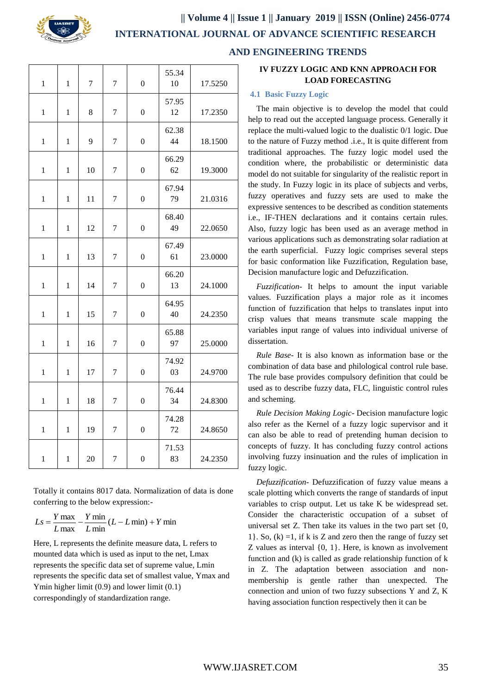

**|| Volume 4 || Issue 1 || January 2019 || ISSN (Online) 2456-0774**

 **INTERNATIONAL JOURNAL OF ADVANCE SCIENTIFIC RESEARCH** 

| $\mathbf{1}$ | 1            | $\overline{7}$ | $\overline{7}$   | $\overline{0}$   | 55.34<br>10 | 17.5250 |
|--------------|--------------|----------------|------------------|------------------|-------------|---------|
| $\mathbf{1}$ | $\mathbf{1}$ | 8              | $\boldsymbol{7}$ | $\overline{0}$   | 57.95<br>12 | 17.2350 |
| $\mathbf{1}$ | $\mathbf{1}$ | 9              | $\boldsymbol{7}$ | $\boldsymbol{0}$ | 62.38<br>44 | 18.1500 |
| 1            | 1            | 10             | $\tau$           | $\overline{0}$   | 66.29<br>62 | 19.3000 |
| $\mathbf{1}$ | $\mathbf{1}$ | 11             | $\tau$           | $\overline{0}$   | 67.94<br>79 | 21.0316 |
| $\mathbf{1}$ | $\mathbf{1}$ | 12             | 7                | $\boldsymbol{0}$ | 68.40<br>49 | 22.0650 |
| $\mathbf{1}$ | $\mathbf{1}$ | 13             | 7                | $\overline{0}$   | 67.49<br>61 | 23.0000 |
| $\mathbf{1}$ | $\mathbf{1}$ | 14             | 7                | $\mathbf{0}$     | 66.20<br>13 | 24.1000 |
| $\mathbf{1}$ | $\mathbf{1}$ | 15             | $\tau$           | $\overline{0}$   | 64.95<br>40 | 24.2350 |
| $\mathbf{1}$ | $\mathbf{1}$ | 16             | 7                | $\boldsymbol{0}$ | 65.88<br>97 | 25.0000 |
| $\mathbf{1}$ | 1            | 17             | $\boldsymbol{7}$ | $\boldsymbol{0}$ | 74.92<br>03 | 24.9700 |
| $\mathbf{1}$ |              |                |                  |                  | 76.44       |         |
|              | $\mathbf{1}$ | 18             | $\boldsymbol{7}$ | $\boldsymbol{0}$ | 34          | 24.8300 |
| $\mathbf{1}$ | $\mathbf{1}$ | 19             | $\boldsymbol{7}$ | $\boldsymbol{0}$ | 74.28<br>72 | 24.8650 |

 **AND ENGINEERING TRENDS**

# **IV FUZZY LOGIC AND KNN APPROACH FOR LOAD FORECASTING**

## **4.1 Basic Fuzzy Logic**

The main objective is to develop the model that could help to read out the accepted language process. Generally it replace the multi-valued logic to the dualistic 0/1 logic. Due to the nature of Fuzzy method .i.e., It is quite different from traditional approaches. The fuzzy logic model used the condition where, the probabilistic or deterministic data model do not suitable for singularity of the realistic report in the study. In Fuzzy logic in its place of subjects and verbs, fuzzy operatives and fuzzy sets are used to make the expressive sentences to be described as condition statements i.e., IF-THEN declarations and it contains certain rules. Also, fuzzy logic has been used as an average method in various applications such as demonstrating solar radiation at the earth superficial. Fuzzy logic comprises several steps for basic conformation like Fuzzification, Regulation base, Decision manufacture logic and Defuzzification.

*Fuzzification*- It helps to amount the input variable values. Fuzzification plays a major role as it incomes function of fuzzification that helps to translates input into crisp values that means transmute scale mapping the variables input range of values into individual universe of dissertation.

*Rule Base*- It is also known as information base or the combination of data base and philological control rule base. The rule base provides compulsory definition that could be used as to describe fuzzy data, FLC, linguistic control rules and scheming.

*Rule Decision Making Logic*- Decision manufacture logic also refer as the Kernel of a fuzzy logic supervisor and it can also be able to read of pretending human decision to concepts of fuzzy. It has concluding fuzzy control actions involving fuzzy insinuation and the rules of implication in fuzzy logic.

*Defuzzification*- Defuzzification of fuzzy value means a scale plotting which converts the range of standards of input variables to crisp output. Let us take K be widespread set. Consider the characteristic occupation of a subset of universal set Z. Then take its values in the two part set {0, 1}. So,  $(k) = 1$ , if k is Z and zero then the range of fuzzy set Z values as interval {0, 1}. Here, is known as involvement function and (k) is called as grade relationship function of k in Z. The adaptation between association and nonmembership is gentle rather than unexpected. The connection and union of two fuzzy subsections Y and Z, K having association function respectively then it can be

Totally it contains 8017 data. Normalization of data is done conferring to the below expression:-

$$
Ls = \frac{Y \max}{L \max} - \frac{Y \min}{L \min} (L - L \min) + Y \min
$$

Here, L represents the definite measure data, L refers to mounted data which is used as input to the net, Lmax represents the specific data set of supreme value, Lmin represents the specific data set of smallest value, Ymax and Ymin higher limit (0.9) and lower limit (0.1) correspondingly of standardization range.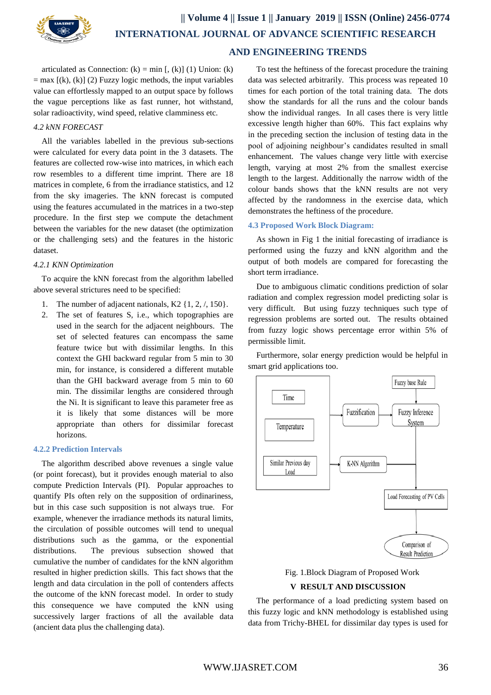

articulated as Connection:  $(k) = min$  [,  $(k)$ ] (1) Union:  $(k)$  $=$  max  $[(k), (k)]$  (2) Fuzzy logic methods, the input variables value can effortlessly mapped to an output space by follows the vague perceptions like as fast runner, hot withstand, solar radioactivity, wind speed, relative clamminess etc.

#### *4.2 kNN FORECAST*

All the variables labelled in the previous sub-sections were calculated for every data point in the 3 datasets. The features are collected row-wise into matrices, in which each row resembles to a different time imprint. There are 18 matrices in complete, 6 from the irradiance statistics, and 12 from the sky imageries. The kNN forecast is computed using the features accumulated in the matrices in a two-step procedure. In the first step we compute the detachment between the variables for the new dataset (the optimization or the challenging sets) and the features in the historic dataset.

#### *4.2.1 KNN Optimization*

To acquire the kNN forecast from the algorithm labelled above several strictures need to be specified:

- 1. The number of adjacent nationals, K2 {1, 2, /, 150}.
- 2. The set of features S, i.e., which topographies are used in the search for the adjacent neighbours. The set of selected features can encompass the same feature twice but with dissimilar lengths. In this context the GHI backward regular from 5 min to 30 min, for instance, is considered a different mutable than the GHI backward average from 5 min to 60 min. The dissimilar lengths are considered through the Ni. It is significant to leave this parameter free as it is likely that some distances will be more appropriate than others for dissimilar forecast horizons.

## **4.2.2 Prediction Intervals**

The algorithm described above revenues a single value (or point forecast), but it provides enough material to also compute Prediction Intervals (PI). Popular approaches to quantify PIs often rely on the supposition of ordinariness, but in this case such supposition is not always true. For example, whenever the irradiance methods its natural limits, the circulation of possible outcomes will tend to unequal distributions such as the gamma, or the exponential distributions. The previous subsection showed that cumulative the number of candidates for the kNN algorithm resulted in higher prediction skills. This fact shows that the length and data circulation in the poll of contenders affects the outcome of the kNN forecast model. In order to study this consequence we have computed the kNN using successively larger fractions of all the available data (ancient data plus the challenging data).

To test the heftiness of the forecast procedure the training data was selected arbitrarily. This process was repeated 10 times for each portion of the total training data. The dots show the standards for all the runs and the colour bands show the individual ranges. In all cases there is very little excessive length higher than 60%. This fact explains why in the preceding section the inclusion of testing data in the pool of adjoining neighbour's candidates resulted in small enhancement. The values change very little with exercise length, varying at most 2% from the smallest exercise length to the largest. Additionally the narrow width of the colour bands shows that the kNN results are not very affected by the randomness in the exercise data, which demonstrates the heftiness of the procedure.

#### **4.3 Proposed Work Block Diagram:**

As shown in Fig 1 the initial forecasting of irradiance is performed using the fuzzy and kNN algorithm and the output of both models are compared for forecasting the short term irradiance.

Due to ambiguous climatic conditions prediction of solar radiation and complex regression model predicting solar is very difficult. But using fuzzy techniques such type of regression problems are sorted out. The results obtained from fuzzy logic shows percentage error within 5% of permissible limit.

Furthermore, solar energy prediction would be helpful in smart grid applications too.



Fig. 1.Block Diagram of Proposed Work

## **V RESULT AND DISCUSSION**

The performance of a load predicting system based on this fuzzy logic and kNN methodology is established using data from Trichy-BHEL for dissimilar day types is used for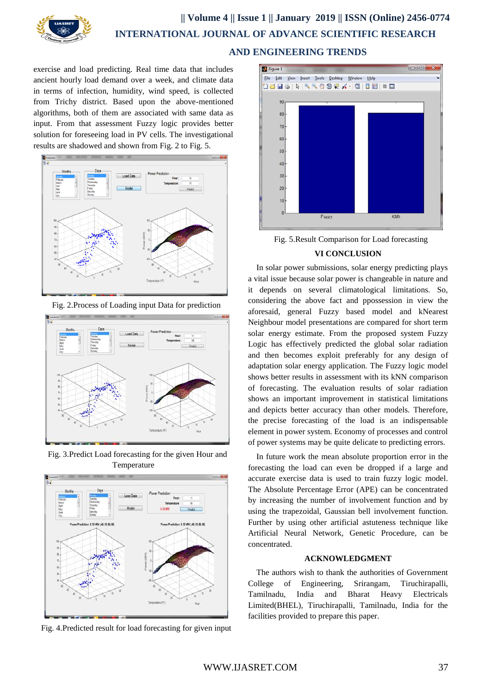

# **|| Volume 4 || Issue 1 || January 2019 || ISSN (Online) 2456-0774 INTERNATIONAL JOURNAL OF ADVANCE SCIENTIFIC RESEARCH AND ENGINEERING TRENDS**

exercise and load predicting. Real time data that includes ancient hourly load demand over a week, and climate data in terms of infection, humidity, wind speed, is collected from Trichy district. Based upon the above-mentioned algorithms, both of them are associated with same data as input. From that assessment Fuzzy logic provides better solution for foreseeing load in PV cells. The investigational results are shadowed and shown from Fig. 2 to Fig. 5.



Fig. 2.Process of Loading input Data for prediction



Fig. 3.Predict Load forecasting for the given Hour and Temperature



Fig. 4.Predicted result for load forecasting for given input



Fig. 5.Result Comparison for Load forecasting

## **VI CONCLUSION**

In solar power submissions, solar energy predicting plays a vital issue because solar power is changeable in nature and it depends on several climatological limitations. So, considering the above fact and ppossession in view the aforesaid, general Fuzzy based model and kNearest Neighbour model presentations are compared for short term solar energy estimate. From the proposed system Fuzzy Logic has effectively predicted the global solar radiation and then becomes exploit preferably for any design of adaptation solar energy application. The Fuzzy logic model shows better results in assessment with its kNN comparison of forecasting. The evaluation results of solar radiation shows an important improvement in statistical limitations and depicts better accuracy than other models. Therefore, the precise forecasting of the load is an indispensable element in power system. Economy of processes and control of power systems may be quite delicate to predicting errors.

In future work the mean absolute proportion error in the forecasting the load can even be dropped if a large and accurate exercise data is used to train fuzzy logic model. The Absolute Percentage Error (APE) can be concentrated by increasing the number of involvement function and by using the trapezoidal, Gaussian bell involvement function. Further by using other artificial astuteness technique like Artificial Neural Network, Genetic Procedure, can be concentrated.

#### **ACKNOWLEDGMENT**

The authors wish to thank the authorities of Government College of Engineering, Srirangam, Tiruchirapalli, Tamilnadu, India and Bharat Heavy Electricals Limited(BHEL), Tiruchirapalli, Tamilnadu, India for the facilities provided to prepare this paper.